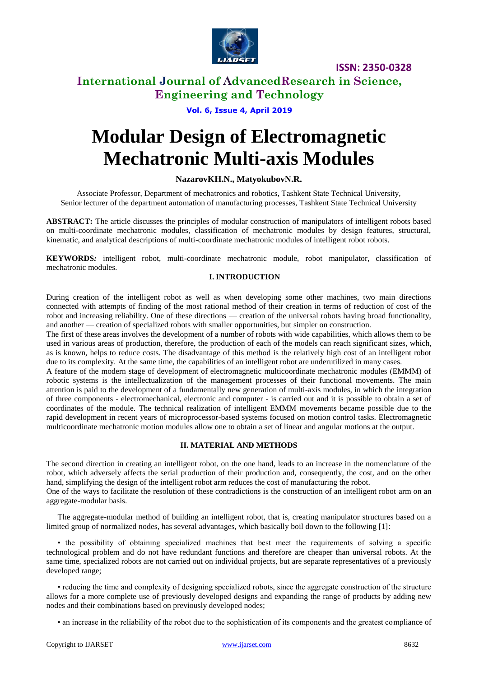

## **International Journal of AdvancedResearch in Science, Engineering and Technology**

#### **Vol. 6, Issue 4, April 2019**

# **Modular Design of Electromagnetic Mechatronic Multi-axis Modules**

#### **NazarovKH.N., MatyokubovN.R.**

Associate Professor, Department of mechatronics and robotics, Tashkent State Technical University, Senior lecturer of the department automation of manufacturing processes, Tashkent State Technical University

**ABSTRACT:** The article discusses the principles of modular construction of manipulators of intelligent robots based on multi-coordinate mechatronic modules, classification of mechatronic modules by design features, structural, kinematic, and analytical descriptions of multi-coordinate mechatronic modules of intelligent robot robots.

**KEYWORDS***:* intelligent robot, multi-coordinate mechatronic module, robot manipulator, classification of mechatronic modules.

#### **I. INTRODUCTION**

During creation of the intelligent robot as well as when developing some other machines, two main directions connected with attempts of finding of the most rational method of their creation in terms of reduction of cost of the robot and increasing reliability. One of these directions — creation of the universal robots having broad functionality, and another — creation of specialized robots with smaller opportunities, but simpler on construction.

The first of these areas involves the development of a number of robots with wide capabilities, which allows them to be used in various areas of production, therefore, the production of each of the models can reach significant sizes, which, as is known, helps to reduce costs. The disadvantage of this method is the relatively high cost of an intelligent robot due to its complexity. At the same time, the capabilities of an intelligent robot are underutilized in many cases.

A feature of the modern stage of development of electromagnetic multicoordinate mechatronic modules (EMMM) of robotic systems is the intellectualization of the management processes of their functional movements. The main attention is paid to the development of a fundamentally new generation of multi-axis modules, in which the integration of three components - electromechanical, electronic and computer - is carried out and it is possible to obtain a set of coordinates of the module. The technical realization of intelligent EMMM movements became possible due to the rapid development in recent years of microprocessor-based systems focused on motion control tasks. Electromagnetic multicoordinate mechatronic motion modules allow one to obtain a set of linear and angular motions at the output.

#### **II. MATERIAL AND METHODS**

The second direction in creating an intelligent robot, on the one hand, leads to an increase in the nomenclature of the robot, which adversely affects the serial production of their production and, consequently, the cost, and on the other hand, simplifying the design of the intelligent robot arm reduces the cost of manufacturing the robot.

One of the ways to facilitate the resolution of these contradictions is the construction of an intelligent robot arm on an aggregate-modular basis.

The aggregate-modular method of building an intelligent robot, that is, creating manipulator structures based on a limited group of normalized nodes, has several advantages, which basically boil down to the following [1]:

• the possibility of obtaining specialized machines that best meet the requirements of solving a specific technological problem and do not have redundant functions and therefore are cheaper than universal robots. At the same time, specialized robots are not carried out on individual projects, but are separate representatives of a previously developed range;

• reducing the time and complexity of designing specialized robots, since the aggregate construction of the structure allows for a more complete use of previously developed designs and expanding the range of products by adding new nodes and their combinations based on previously developed nodes;

• an increase in the reliability of the robot due to the sophistication of its components and the greatest compliance of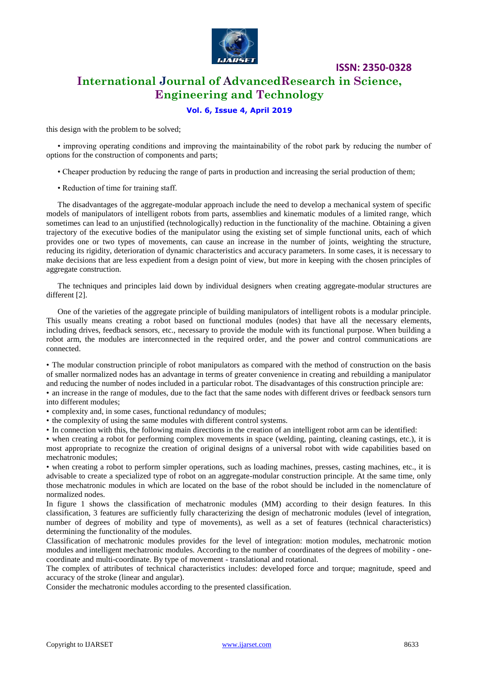

**ISSN: 2350-0328 International Journal of AdvancedResearch in Science,** 

**Engineering and Technology**

#### **Vol. 6, Issue 4, April 2019**

this design with the problem to be solved;

• improving operating conditions and improving the maintainability of the robot park by reducing the number of options for the construction of components and parts;

- Cheaper production by reducing the range of parts in production and increasing the serial production of them;
- Reduction of time for training staff.

The disadvantages of the aggregate-modular approach include the need to develop a mechanical system of specific models of manipulators of intelligent robots from parts, assemblies and kinematic modules of a limited range, which sometimes can lead to an unjustified (technologically) reduction in the functionality of the machine. Obtaining a given trajectory of the executive bodies of the manipulator using the existing set of simple functional units, each of which provides one or two types of movements, can cause an increase in the number of joints, weighting the structure, reducing its rigidity, deterioration of dynamic characteristics and accuracy parameters. In some cases, it is necessary to make decisions that are less expedient from a design point of view, but more in keeping with the chosen principles of aggregate construction.

The techniques and principles laid down by individual designers when creating aggregate-modular structures are different [2].

One of the varieties of the aggregate principle of building manipulators of intelligent robots is a modular principle. This usually means creating a robot based on functional modules (nodes) that have all the necessary elements, including drives, feedback sensors, etc., necessary to provide the module with its functional purpose. When building a robot arm, the modules are interconnected in the required order, and the power and control communications are connected.

• The modular construction principle of robot manipulators as compared with the method of construction on the basis of smaller normalized nodes has an advantage in terms of greater convenience in creating and rebuilding a manipulator and reducing the number of nodes included in a particular robot. The disadvantages of this construction principle are:

• an increase in the range of modules, due to the fact that the same nodes with different drives or feedback sensors turn into different modules;

- complexity and, in some cases, functional redundancy of modules;
- the complexity of using the same modules with different control systems.
- In connection with this, the following main directions in the creation of an intelligent robot arm can be identified:

• when creating a robot for performing complex movements in space (welding, painting, cleaning castings, etc.), it is most appropriate to recognize the creation of original designs of a universal robot with wide capabilities based on mechatronic modules;

• when creating a robot to perform simpler operations, such as loading machines, presses, casting machines, etc., it is advisable to create a specialized type of robot on an aggregate-modular construction principle. At the same time, only those mechatronic modules in which are located on the base of the robot should be included in the nomenclature of normalized nodes.

In figure 1 shows the classification of mechatronic modules (MM) according to their design features. In this classification, 3 features are sufficiently fully characterizing the design of mechatronic modules (level of integration, number of degrees of mobility and type of movements), as well as a set of features (technical characteristics) determining the functionality of the modules.

Classification of mechatronic modules provides for the level of integration: motion modules, mechatronic motion modules and intelligent mechatronic modules. According to the number of coordinates of the degrees of mobility - onecoordinate and multi-coordinate. By type of movement - translational and rotational.

The complex of attributes of technical characteristics includes: developed force and torque; magnitude, speed and accuracy of the stroke (linear and angular).

Consider the mechatronic modules according to the presented classification.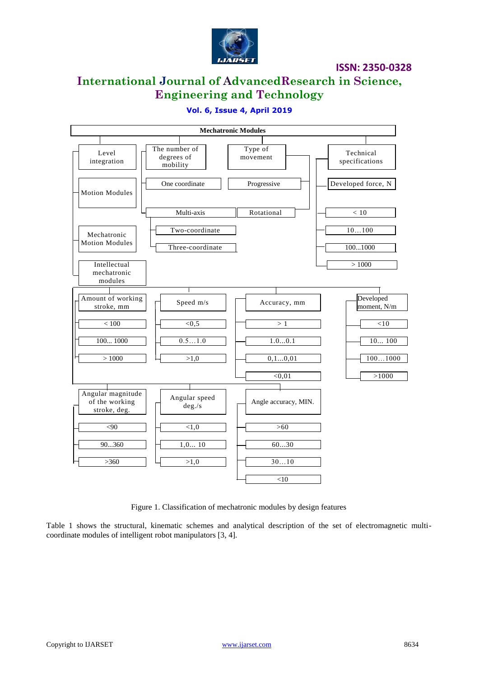

## **International Journal of AdvancedResearch in Science, Engineering and Technology**

#### **Vol. 6, Issue 4, April 2019**



Figure 1. Classification of mechatronic modules by design features

Table 1 shows the structural, kinematic schemes and analytical description of the set of electromagnetic multicoordinate modules of intelligent robot manipulators [3, 4].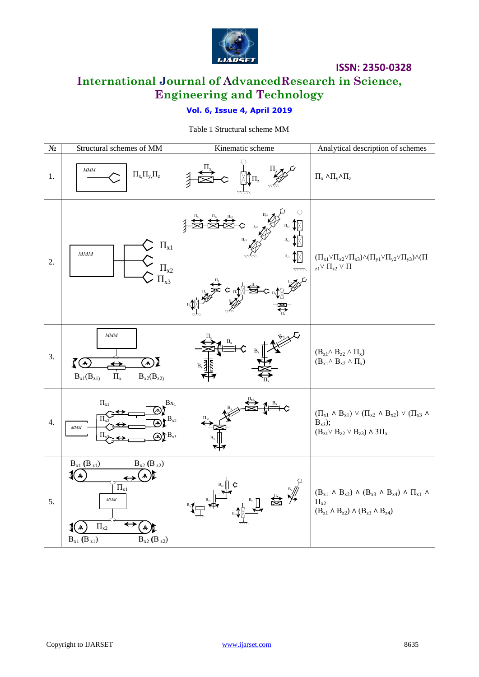

# **International Journal of AdvancedResearch in Science, Engineering and Technology**

### **Vol. 6, Issue 4, April 2019**

Table 1 Structural scheme MM

| $N\!{\underline{\rm o}}$ | Structural schemes of MM                                                                                                                                               | Kinematic scheme                                                                                                                                                                                                                                                                                                                                    | Analytical description of schemes                                                                                                                                                                                       |
|--------------------------|------------------------------------------------------------------------------------------------------------------------------------------------------------------------|-----------------------------------------------------------------------------------------------------------------------------------------------------------------------------------------------------------------------------------------------------------------------------------------------------------------------------------------------------|-------------------------------------------------------------------------------------------------------------------------------------------------------------------------------------------------------------------------|
| 1.                       | <b>MMM</b><br>$\Pi_{x_i}\Pi_{y_i}\Pi_{z}$                                                                                                                              | $\begin{picture}(120,110) \put(0,0){\line(1,0){15}} \put(15,0){\line(1,0){15}} \put(15,0){\line(1,0){15}} \put(15,0){\line(1,0){15}} \put(15,0){\line(1,0){15}} \put(15,0){\line(1,0){15}} \put(15,0){\line(1,0){15}} \put(15,0){\line(1,0){15}} \put(15,0){\line(1,0){15}} \put(15,0){\line(1,0){15}} \put(15,0){\line(1,0){15}} \put(15,0){\line$ | $\Pi_x$ Λ $\Pi_y$ Λ $\Pi_z$                                                                                                                                                                                             |
| 2.                       | $\Pi_{x1}$<br>$\sum$<br>MMM<br>$\frac{\prod_{x2}}{\prod_{x3}}$                                                                                                         | $\frac{1}{4}$<br>$\Pi_{z2}$<br>$\Pi_{z1}$                                                                                                                                                                                                                                                                                                           | $(\Pi_{x1}\vee\Pi_{x2}\vee\Pi_{x3})\wedge(\Pi_{y1}\vee\Pi_{y2}\vee\Pi_{y3})\wedge(\Pi$<br>$_{z1}\vee$ $\Pi_{z2}\vee$ $\Pi$                                                                                              |
| 3.                       | <b>MMM</b><br>(⊕<br>$\Omega$<br>$B_{x1}(B_{z1)}$<br>$\Pi_x$<br>$B_{x2}(B_{z2)}$                                                                                        | Ç<br>$B_z$                                                                                                                                                                                                                                                                                                                                          | $(B_{z1} \wedge B_{z2} \wedge \Pi_x)$<br>$(B_{x1} \wedge B_{x2} \wedge \Pi_x)$                                                                                                                                          |
| 4.                       | $\Pi_{x1}$<br>$Bx_1$<br>$\bigoplus \mathbb{P}^{\mathrm{B}_{\mathrm{x2}}}$<br>MMM<br>$\bigoplus B_{x3}$                                                                 |                                                                                                                                                                                                                                                                                                                                                     | $(\Pi_{x1} \wedge B_{x1}) \vee (\Pi_{x2} \wedge B_{x2}) \vee (\Pi_{x3} \wedge$<br>$B_{x3}$ );<br>$(B_{z1}\vee B_{z2}\vee B_{z3}) \wedge 3\Pi_x$                                                                         |
| 5.                       | $B_{x1}$ $(B_{z1})$<br>$B_{x2}$ (B <sub>z2</sub> )<br>A<br>А<br>$\left[\Pi_{x1}\right]$<br>MMM<br>$\Pi_{x2}$<br>Д,<br>$B_{x2}$ (B <sub>z2</sub> )<br>$B_{x1} (B_{z1})$ |                                                                                                                                                                                                                                                                                                                                                     | $(\mathbf{B}_{x1} \, \wedge \, \mathbf{B}_{x2}) \, \wedge \, (\mathbf{B}_{x3} \, \wedge \, \mathbf{B}_{x4}) \, \wedge \, \Pi_{x1} \, \wedge \,$<br>$\Pi_{x2}$<br>$(B_{z1} \wedge B_{z2}) \wedge (B_{z3} \wedge B_{z4})$ |